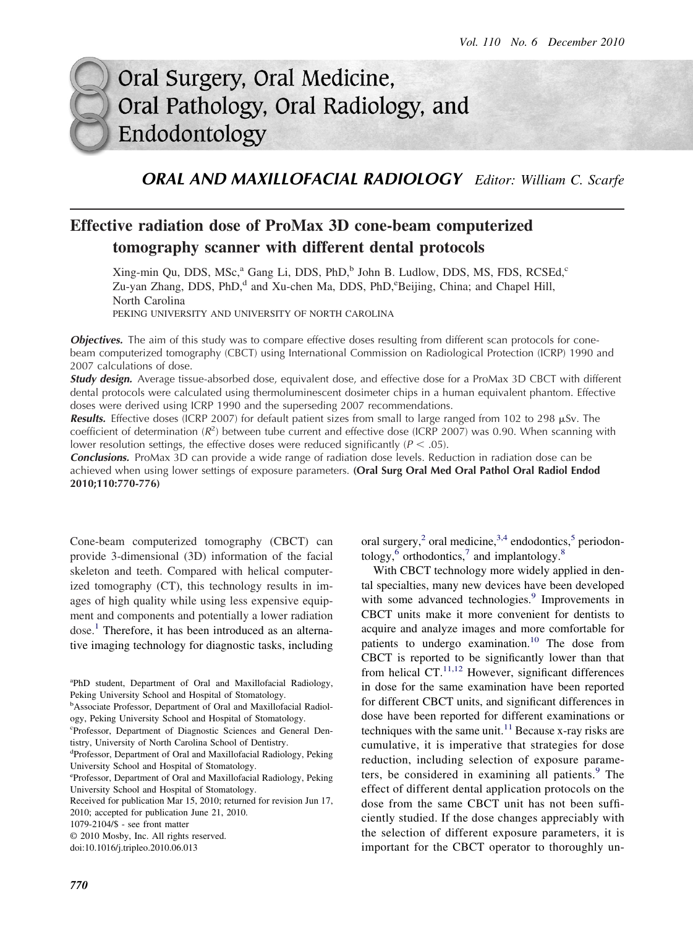# Oral Surgery, Oral Medicine, Oral Pathology, Oral Radiology, and Endodontology

### *ORAL AND MAXILLOFACIAL RADIOLOGY Editor: William C. Scarfe*

## **Effective radiation dose of ProMax 3D cone-beam computerized tomography scanner with different dental protocols**

Xing-min Qu, DDS, MSc,<sup>a</sup> Gang Li, DDS, PhD,<sup>b</sup> John B. Ludlow, DDS, MS, FDS, RCSEd,<sup>c</sup> Zu-yan Zhang, DDS, PhD,<sup>d</sup> and Xu-chen Ma, DDS, PhD, <sup>e</sup>Beijing, China; and Chapel Hill, North Carolina PEKING UNIVERSITY AND UNIVERSITY OF NORTH CAROLINA

*Objectives.* The aim of this study was to compare effective doses resulting from different scan protocols for conebeam computerized tomography (CBCT) using International Commission on Radiological Protection (ICRP) 1990 and 2007 calculations of dose.

*Study design.* Average tissue-absorbed dose, equivalent dose, and effective dose for a ProMax 3D CBCT with different dental protocols were calculated using thermoluminescent dosimeter chips in a human equivalent phantom. Effective doses were derived using ICRP 1990 and the superseding 2007 recommendations.

Results. Effective doses (ICRP 2007) for default patient sizes from small to large ranged from 102 to 298 µSv. The coefficient of determination ( $R^2$ ) between tube current and effective dose (ICRP 2007) was 0.90. When scanning with lower resolution settings, the effective doses were reduced significantly ( $P < .05$ ).

*Conclusions.* ProMax 3D can provide a wide range of radiation dose levels. Reduction in radiation dose can be achieved when using lower settings of exposure parameters. **(Oral Surg Oral Med Oral Pathol Oral Radiol Endod 2010;110:770-776)**

Cone-beam computerized tomography (CBCT) can provide 3-dimensional (3D) information of the facial skeleton and teeth. Compared with helical computerized tomography (CT), this technology results in images of high quality while using less expensive equipment and components and potentially a lower radiation  $dose.<sup>1</sup>$  Therefore, it has been introduced as an alternative imaging technology for diagnostic tasks, including

© 2010 Mosby, Inc. All rights reserved.

doi:10.1016/j.tripleo.2010.06.013

with some advanced technologies.<sup>[9](#page-6-0)</sup> Improvements in CBCT units make it more convenient for dentists to acquire and analyze images and more comfortable for patients to undergo examination.<sup>[10](#page-6-0)</sup> The dose from CBCT is reported to be significantly lower than that from helical  $CT$ .<sup>[11,12](#page-6-0)</sup> However, significant differences in dose for the same examination have been reported

oral surgery,<sup>2</sup> oral medicine,<sup>3,4</sup> endodontics,<sup>5</sup> periodon-

With CBCT technology more widely applied in dental specialties, many new devices have been developed

tology, $6$  orthodontics, $7$  and implantology. $8$ 

for different CBCT units, and significant differences in dose have been reported for different examinations or techniques with the same unit. $11$  Because x-ray risks are cumulative, it is imperative that strategies for dose reduction, including selection of exposure parame-ters, be considered in examining all patients.<sup>[9](#page-6-0)</sup> The effect of different dental application protocols on the dose from the same CBCT unit has not been sufficiently studied. If the dose changes appreciably with the selection of different exposure parameters, it is important for the CBCT operator to thoroughly un-

a PhD student, Department of Oral and Maxillofacial Radiology, Peking University School and Hospital of Stomatology.

<sup>&</sup>lt;sup>b</sup>Associate Professor, Department of Oral and Maxillofacial Radiology, Peking University School and Hospital of Stomatology.

c Professor, Department of Diagnostic Sciences and General Dentistry, University of North Carolina School of Dentistry.

d Professor, Department of Oral and Maxillofacial Radiology, Peking University School and Hospital of Stomatology.

e Professor, Department of Oral and Maxillofacial Radiology, Peking University School and Hospital of Stomatology.

Received for publication Mar 15, 2010; returned for revision Jun 17, 2010; accepted for publication June 21, 2010.

<sup>1079-2104/\$ -</sup> see front matter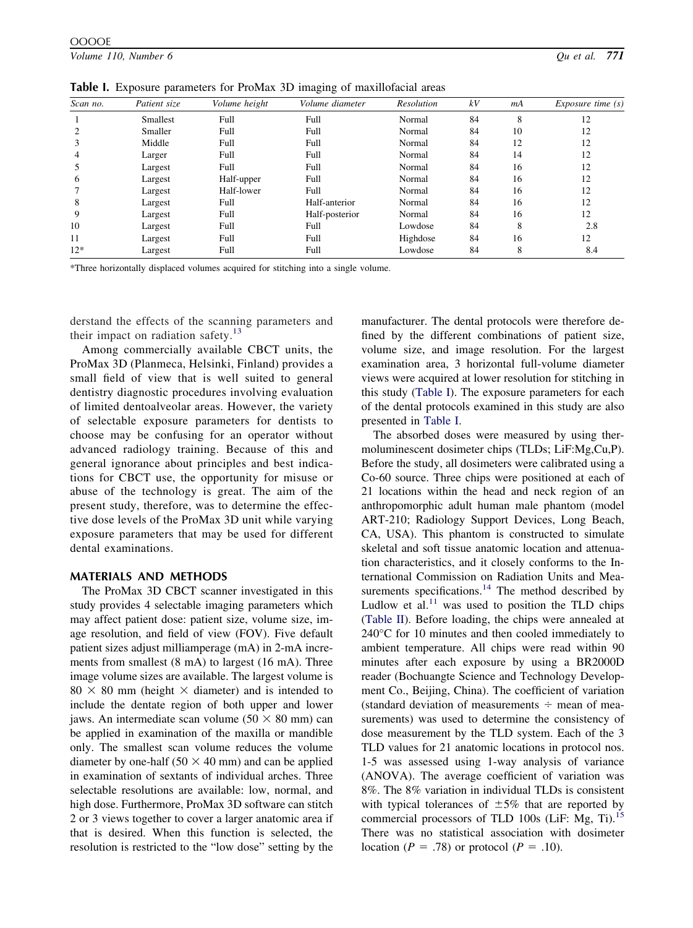<span id="page-1-0"></span>

| Scan no. | Patient size | Volume height | Volume diameter | Resolution | kV | mA | $Exposure$ time $(s)$ |  |
|----------|--------------|---------------|-----------------|------------|----|----|-----------------------|--|
|          | Smallest     | Full          | Full            | Normal     | 84 | 8  | 12                    |  |
|          | Smaller      | Full          | Full            | Normal     | 84 | 10 | 12                    |  |
|          | Middle       | Full          | Full            | Normal     | 84 | 12 | 12                    |  |
| 4        | Larger       | Full          | Full            | Normal     | 84 | 14 | 12                    |  |
|          | Largest      | Full          | Full            | Normal     | 84 | 16 | 12                    |  |
| 6        | Largest      | Half-upper    | Full            | Normal     | 84 | 16 | 12                    |  |
|          | Largest      | Half-lower    | Full            | Normal     | 84 | 16 | 12                    |  |
| 8        | Largest      | Full          | Half-anterior   | Normal     | 84 | 16 | 12                    |  |
| 9        | Largest      | Full          | Half-posterior  | Normal     | 84 | 16 | 12                    |  |
| 10       | Largest      | Full          | Full            | Lowdose    | 84 | 8  | 2.8                   |  |
| 11       | Largest      | Full          | Full            | Highdose   | 84 | 16 | 12                    |  |
| $12*$    | Largest      | Full          | Full            | Lowdose    | 84 | 8  | 8.4                   |  |

\*Three horizontally displaced volumes acquired for stitching into a single volume.

derstand the effects of the scanning parameters and their impact on radiation safety. $13$ 

Among commercially available CBCT units, the ProMax 3D (Planmeca, Helsinki, Finland) provides a small field of view that is well suited to general dentistry diagnostic procedures involving evaluation of limited dentoalveolar areas. However, the variety of selectable exposure parameters for dentists to choose may be confusing for an operator without advanced radiology training. Because of this and general ignorance about principles and best indications for CBCT use, the opportunity for misuse or abuse of the technology is great. The aim of the present study, therefore, was to determine the effective dose levels of the ProMax 3D unit while varying exposure parameters that may be used for different dental examinations.

#### **MATERIALS AND METHODS**

The ProMax 3D CBCT scanner investigated in this study provides 4 selectable imaging parameters which may affect patient dose: patient size, volume size, image resolution, and field of view (FOV). Five default patient sizes adjust milliamperage (mA) in 2-mA increments from smallest (8 mA) to largest (16 mA). Three image volume sizes are available. The largest volume is  $80 \times 80$  mm (height  $\times$  diameter) and is intended to include the dentate region of both upper and lower jaws. An intermediate scan volume ( $50 \times 80$  mm) can be applied in examination of the maxilla or mandible only. The smallest scan volume reduces the volume diameter by one-half ( $50 \times 40$  mm) and can be applied in examination of sextants of individual arches. Three selectable resolutions are available: low, normal, and high dose. Furthermore, ProMax 3D software can stitch 2 or 3 views together to cover a larger anatomic area if that is desired. When this function is selected, the resolution is restricted to the "low dose" setting by the

manufacturer. The dental protocols were therefore defined by the different combinations of patient size, volume size, and image resolution. For the largest examination area, 3 horizontal full-volume diameter views were acquired at lower resolution for stitching in this study (Table I). The exposure parameters for each of the dental protocols examined in this study are also presented in Table I.

The absorbed doses were measured by using thermoluminescent dosimeter chips (TLDs; LiF:Mg,Cu,P). Before the study, all dosimeters were calibrated using a Co-60 source. Three chips were positioned at each of 21 locations within the head and neck region of an anthropomorphic adult human male phantom (model ART-210; Radiology Support Devices, Long Beach, CA, USA). This phantom is constructed to simulate skeletal and soft tissue anatomic location and attenuation characteristics, and it closely conforms to the International Commission on Radiation Units and Mea-surements specifications.<sup>[14](#page-6-0)</sup> The method described by Ludlow et al. $^{11}$  $^{11}$  $^{11}$  was used to position the TLD chips [\(Table II\)](#page-2-0). Before loading, the chips were annealed at 240°C for 10 minutes and then cooled immediately to ambient temperature. All chips were read within 90 minutes after each exposure by using a BR2000D reader (Bochuangte Science and Technology Development Co., Beijing, China). The coefficient of variation (standard deviation of measurements  $\div$  mean of measurements) was used to determine the consistency of dose measurement by the TLD system. Each of the 3 TLD values for 21 anatomic locations in protocol nos. 1-5 was assessed using 1-way analysis of variance (ANOVA). The average coefficient of variation was 8%. The 8% variation in individual TLDs is consistent with typical tolerances of  $\pm 5\%$  that are reported by commercial processors of TLD 100s (LiF: Mg, Ti).<sup>[15](#page-6-0)</sup> There was no statistical association with dosimeter location ( $P = .78$ ) or protocol ( $P = .10$ ).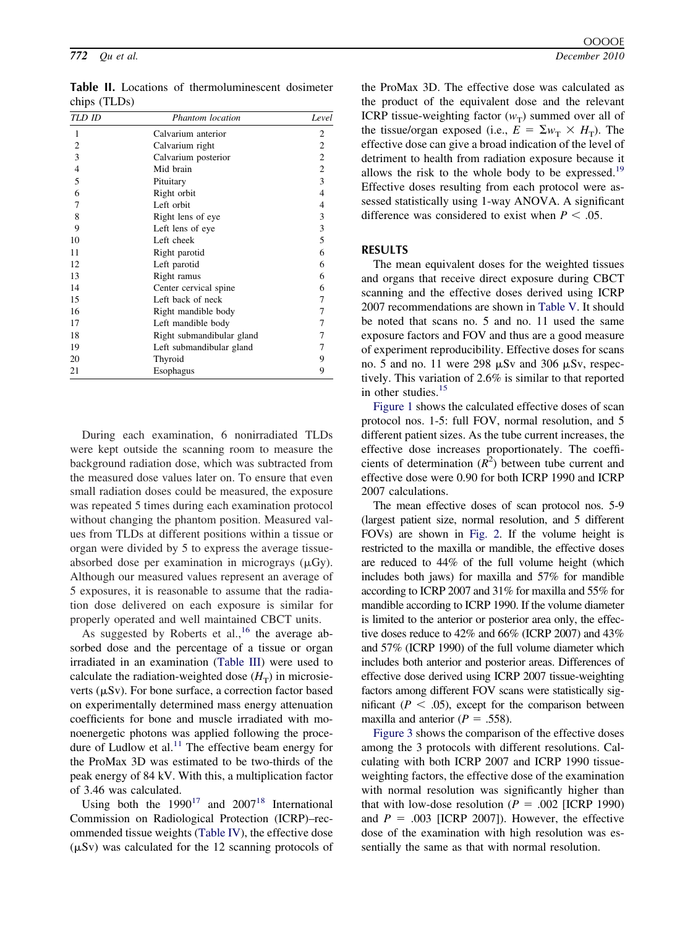| Calvarium anterior<br>1<br>$\overline{\mathbf{c}}$<br>Calvarium right<br>3<br>Calvarium posterior |                |
|---------------------------------------------------------------------------------------------------|----------------|
|                                                                                                   | 2              |
|                                                                                                   | $\overline{c}$ |
|                                                                                                   | $\sqrt{2}$     |
| $\overline{\mathcal{L}}$<br>Mid brain                                                             | $\sqrt{2}$     |
| 5<br>Pituitary                                                                                    | $\mathfrak{Z}$ |
| 6<br>Right orbit                                                                                  | $\overline{4}$ |
| 7<br>Left orbit                                                                                   | 4              |
| 8<br>Right lens of eye                                                                            | 3              |
| 9<br>Left lens of eye                                                                             | $\mathfrak{Z}$ |
| 10<br>Left cheek                                                                                  | 5              |
| 11<br>Right parotid                                                                               | 6              |
| 12<br>Left parotid                                                                                | 6              |
| 13<br>Right ramus                                                                                 | 6              |
| 14<br>Center cervical spine                                                                       | 6              |
| 15<br>Left back of neck                                                                           | 7              |
| 16<br>Right mandible body                                                                         | 7              |
| 17<br>Left mandible body                                                                          | 7              |
| 18<br>Right submandibular gland                                                                   | 7              |
| 19<br>Left submandibular gland                                                                    | 7              |
| 20<br>Thyroid                                                                                     | 9              |
| Esophagus<br>21                                                                                   | 9              |

<span id="page-2-0"></span>**Table II.** Locations of thermoluminescent dosimeter chips (TLDs)

During each examination, 6 nonirradiated TLDs were kept outside the scanning room to measure the background radiation dose, which was subtracted from the measured dose values later on. To ensure that even small radiation doses could be measured, the exposure was repeated 5 times during each examination protocol without changing the phantom position. Measured values from TLDs at different positions within a tissue or organ were divided by 5 to express the average tissueabsorbed dose per examination in micrograys  $(\mu G_y)$ . Although our measured values represent an average of 5 exposures, it is reasonable to assume that the radiation dose delivered on each exposure is similar for properly operated and well maintained CBCT units.

As suggested by Roberts et al., <sup>16</sup> the average absorbed dose and the percentage of a tissue or organ irradiated in an examination [\(Table III\)](#page-3-0) were used to calculate the radiation-weighted dose  $(H_T)$  in microsieverts ( $\mu Sv$ ). For bone surface, a correction factor based on experimentally determined mass energy attenuation coefficients for bone and muscle irradiated with monoenergetic photons was applied following the proce-dure of Ludlow et al.<sup>[11](#page-6-0)</sup> The effective beam energy for the ProMax 3D was estimated to be two-thirds of the peak energy of 84 kV. With this, a multiplication factor of 3.46 was calculated.

Using both the  $1990^{17}$  $1990^{17}$  $1990^{17}$  and  $2007^{18}$  $2007^{18}$  $2007^{18}$  International Commission on Radiological Protection (ICRP)–recommended tissue weights [\(Table IV\)](#page-3-0), the effective dose  $(\mu Sv)$  was calculated for the 12 scanning protocols of the ProMax 3D. The effective dose was calculated as the product of the equivalent dose and the relevant ICRP tissue-weighting factor  $(w_T)$  summed over all of the tissue/organ exposed (i.e.,  $E = \sum_{w_T} \times H_T$ ). The effective dose can give a broad indication of the level of detriment to health from radiation exposure because it allows the risk to the whole body to be expressed.<sup>19</sup> Effective doses resulting from each protocol were assessed statistically using 1-way ANOVA. A significant difference was considered to exist when  $P < .05$ .

#### **RESULTS**

The mean equivalent doses for the weighted tissues and organs that receive direct exposure during CBCT scanning and the effective doses derived using ICRP 2007 recommendations are shown in [Table V.](#page-4-0) It should be noted that scans no. 5 and no. 11 used the same exposure factors and FOV and thus are a good measure of experiment reproducibility. Effective doses for scans no. 5 and no. 11 were 298  $\mu$ Sv and 306  $\mu$ Sv, respectively. This variation of 2.6% is similar to that reported in other studies.[15](#page-6-0)

[Figure 1](#page-4-0) shows the calculated effective doses of scan protocol nos. 1-5: full FOV, normal resolution, and 5 different patient sizes. As the tube current increases, the effective dose increases proportionately. The coefficients of determination  $(R^2)$  between tube current and effective dose were 0.90 for both ICRP 1990 and ICRP 2007 calculations.

The mean effective doses of scan protocol nos. 5-9 (largest patient size, normal resolution, and 5 different FOVs) are shown in [Fig. 2.](#page-4-0) If the volume height is restricted to the maxilla or mandible, the effective doses are reduced to 44% of the full volume height (which includes both jaws) for maxilla and 57% for mandible according to ICRP 2007 and 31% for maxilla and 55% for mandible according to ICRP 1990. If the volume diameter is limited to the anterior or posterior area only, the effective doses reduce to 42% and 66% (ICRP 2007) and 43% and 57% (ICRP 1990) of the full volume diameter which includes both anterior and posterior areas. Differences of effective dose derived using ICRP 2007 tissue-weighting factors among different FOV scans were statistically significant ( $P < .05$ ), except for the comparison between maxilla and anterior ( $P = .558$ ).

[Figure 3](#page-5-0) shows the comparison of the effective doses among the 3 protocols with different resolutions. Calculating with both ICRP 2007 and ICRP 1990 tissueweighting factors, the effective dose of the examination with normal resolution was significantly higher than that with low-dose resolution  $(P = .002$  [ICRP 1990) and  $P = .003$  [ICRP 2007]). However, the effective dose of the examination with high resolution was essentially the same as that with normal resolution.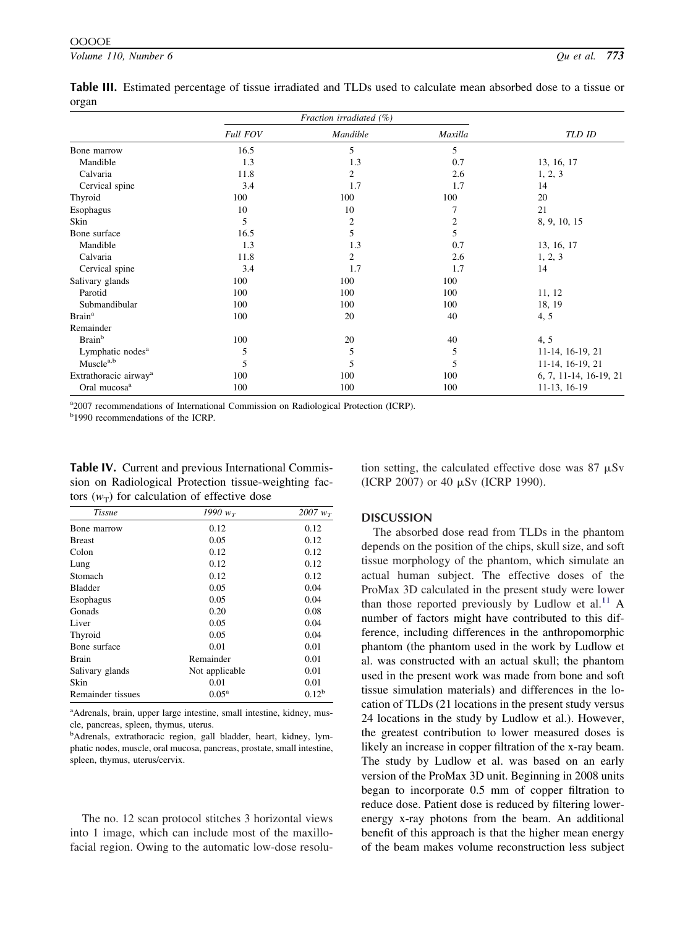|                                   | <b>Full FOV</b> | Mandible       | Maxilla | TLD ID                 |
|-----------------------------------|-----------------|----------------|---------|------------------------|
| Bone marrow                       | 16.5            | 5              | 5       |                        |
| Mandible                          | 1.3             | 1.3            | 0.7     | 13, 16, 17             |
| Calvaria                          | 11.8            | 2              | 2.6     | 1, 2, 3                |
| Cervical spine                    | 3.4             | 1.7            | 1.7     | 14                     |
| Thyroid                           | 100             | 100            | 100     | 20                     |
| Esophagus                         | 10              | 10             |         | 21                     |
| Skin                              | 5               | $\overline{c}$ | 2       | 8, 9, 10, 15           |
| Bone surface                      | 16.5            | 5              | 5       |                        |
| Mandible                          | 1.3             | 1.3            | 0.7     | 13, 16, 17             |
| Calvaria                          | 11.8            | $\overline{c}$ | 2.6     | 1, 2, 3                |
| Cervical spine                    | 3.4             | 1.7            | 1.7     | 14                     |
| Salivary glands                   | 100             | 100            | 100     |                        |
| Parotid                           | 100             | 100            | 100     | 11, 12                 |
| Submandibular                     | 100             | 100            | 100     | 18, 19                 |
| <b>Brain</b> <sup>a</sup>         | 100             | 20             | 40      | 4, 5                   |
| Remainder                         |                 |                |         |                        |
| <b>Brain</b> <sup>b</sup>         | 100             | 20             | 40      | 4, 5                   |
| Lymphatic nodes <sup>a</sup>      | 5               | 5              | 5       | 11-14, 16-19, 21       |
| Muscle <sup>a,b</sup>             | 5               | 5              | 5       | 11-14, 16-19, 21       |
| Extrathoracic airway <sup>a</sup> | 100             | 100            | 100     | 6, 7, 11-14, 16-19, 21 |
| Oral mucosa <sup>a</sup>          | 100             | 100            | 100     | 11-13, 16-19           |

<span id="page-3-0"></span>**Table III.** Estimated percentage of tissue irradiated and TLDs used to calculate mean absorbed dose to a tissue or organ

a<sup>2</sup>007 recommendations of International Commission on Radiological Protection (ICRP).

<sup>b</sup>1990 recommendations of the ICRP.

**Table IV.** Current and previous International Commission on Radiological Protection tissue-weighting factors  $(w_T)$  for calculation of effective dose

tion setting, the calculated effective dose was  $87 \mu Sv$ (ICRP 2007) or 40  $\mu$ Sv (ICRP 1990).

The absorbed dose read from TLDs in the phantom

| Tissue            | 1990 $w_{\tau}$ | 2007 $w_T$     |
|-------------------|-----------------|----------------|
| Bone marrow       | 0.12            | 0.12           |
| <b>Breast</b>     | 0.05            | 0.12           |
| Colon             | 0.12            | 0.12           |
| Lung              | 0.12            | 0.12           |
| Stomach           | 0.12            | 0.12           |
| <b>Bladder</b>    | 0.05            | 0.04           |
| Esophagus         | 0.05            | 0.04           |
| Gonads            | 0.20            | 0.08           |
| Liver             | 0.05            | 0.04           |
| Thyroid           | 0.05            | 0.04           |
| Bone surface      | 0.01            | 0.01           |
| <b>Brain</b>      | Remainder       | 0.01           |
| Salivary glands   | Not applicable  | 0.01           |
| Skin              | 0.01            | 0.01           |
| Remainder tissues | $0.05^{\rm a}$  | $0.12^{\rm b}$ |

**DISCUSSION**

depends on the position of the chips, skull size, and soft tissue morphology of the phantom, which simulate an actual human subject. The effective doses of the ProMax 3D calculated in the present study were lower than those reported previously by Ludlow et al. $^{11}$  $^{11}$  $^{11}$  A number of factors might have contributed to this difference, including differences in the anthropomorphic phantom (the phantom used in the work by Ludlow et al. was constructed with an actual skull; the phantom used in the present work was made from bone and soft tissue simulation materials) and differences in the location of TLDs (21 locations in the present study versus 24 locations in the study by Ludlow et al.). However, the greatest contribution to lower measured doses is likely an increase in copper filtration of the x-ray beam. The study by Ludlow et al. was based on an early version of the ProMax 3D unit. Beginning in 2008 units began to incorporate 0.5 mm of copper filtration to reduce dose. Patient dose is reduced by filtering lowerenergy x-ray photons from the beam. An additional benefit of this approach is that the higher mean energy of the beam makes volume reconstruction less subject

<sup>a</sup>Adrenals, brain, upper large intestine, small intestine, kidney, muscle, pancreas, spleen, thymus, uterus.

<sup>b</sup>Adrenals, extrathoracic region, gall bladder, heart, kidney, lymphatic nodes, muscle, oral mucosa, pancreas, prostate, small intestine, spleen, thymus, uterus/cervix.

The no. 12 scan protocol stitches 3 horizontal views into 1 image, which can include most of the maxillofacial region. Owing to the automatic low-dose resolu-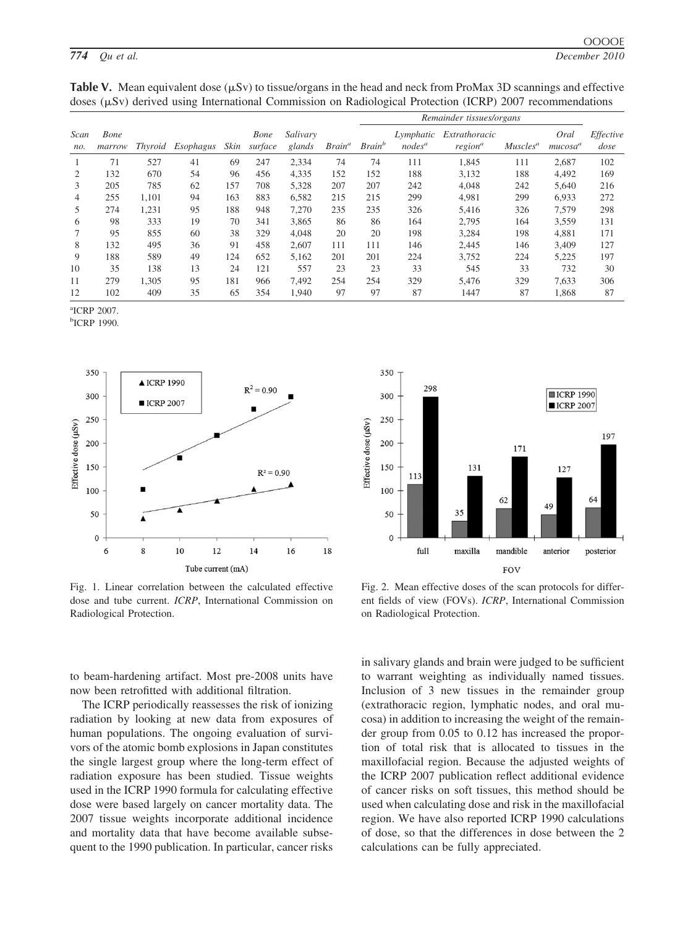<span id="page-4-0"></span>

|  |  | Table V. Mean equivalent dose $(\mu Sv)$ to tissue/organs in the head and neck from ProMax 3D scannings and effective |  |  |  |
|--|--|-----------------------------------------------------------------------------------------------------------------------|--|--|--|
|  |  | doses ( $\mu$ Sv) derived using International Commission on Radiological Protection (ICRP) 2007 recommendations       |  |  |  |

|             |                |                |           |      |                 |                    |                    | Remainder tissues/organs  |                        |                                      |                      |                             |                   |
|-------------|----------------|----------------|-----------|------|-----------------|--------------------|--------------------|---------------------------|------------------------|--------------------------------------|----------------------|-----------------------------|-------------------|
| Scan<br>no. | Bone<br>marrow | <i>Thyroid</i> | Esophagus | Skin | Bone<br>surface | Salivary<br>glands | Brain <sup>a</sup> | <b>Brain</b> <sup>b</sup> | Lymphatic<br>$nodes^a$ | Extrathoracic<br>region <sup>a</sup> | Muscles <sup>a</sup> | Oral<br>mucosa <sup>a</sup> | Effective<br>dose |
|             | 71             | 527            | 41        | 69   | 247             | 2,334              | 74                 | 74                        | 111                    | 1,845                                | 111                  | 2,687                       | 102               |
| 2           | 132            | 670            | 54        | 96   | 456             | 4,335              | 152                | 152                       | 188                    | 3,132                                | 188                  | 4,492                       | 169               |
| 3           | 205            | 785            | 62        | 157  | 708             | 5,328              | 207                | 207                       | 242                    | 4,048                                | 242                  | 5,640                       | 216               |
| 4           | 255            | 1,101          | 94        | 163  | 883             | 6,582              | 215                | 215                       | 299                    | 4.981                                | 299                  | 6,933                       | 272               |
| 5           | 274            | 1,231          | 95        | 188  | 948             | 7,270              | 235                | 235                       | 326                    | 5,416                                | 326                  | 7,579                       | 298               |
| 6           | 98             | 333            | 19        | 70   | 341             | 3,865              | 86                 | 86                        | 164                    | 2,795                                | 164                  | 3,559                       | 131               |
|             | 95             | 855            | 60        | 38   | 329             | 4,048              | 20                 | 20                        | 198                    | 3,284                                | 198                  | 4,881                       | 171               |
| 8           | 132            | 495            | 36        | 91   | 458             | 2.607              | 111                | 111                       | 146                    | 2.445                                | 146                  | 3,409                       | 127               |
| 9           | 188            | 589            | 49        | 124  | 652             | 5,162              | 201                | 201                       | 224                    | 3,752                                | 224                  | 5,225                       | 197               |
| 10          | 35             | 138            | 13        | 24   | 121             | 557                | 23                 | 23                        | 33                     | 545                                  | 33                   | 732                         | 30                |
| 11          | 279            | 1,305          | 95        | 181  | 966             | 7,492              | 254                | 254                       | 329                    | 5,476                                | 329                  | 7,633                       | 306               |
| 12          | 102            | 409            | 35        | 65   | 354             | 1,940              | 97                 | 97                        | 87                     | 1447                                 | 87                   | 1,868                       | 87                |

a ICRP 2007.

b ICRP 1990.



Fig. 1. Linear correlation between the calculated effective dose and tube current. *ICRP*, International Commission on Radiological Protection.



Fig. 2. Mean effective doses of the scan protocols for different fields of view (FOVs). *ICRP*, International Commission on Radiological Protection.

to beam-hardening artifact. Most pre-2008 units have now been retrofitted with additional filtration.

The ICRP periodically reassesses the risk of ionizing radiation by looking at new data from exposures of human populations. The ongoing evaluation of survivors of the atomic bomb explosions in Japan constitutes the single largest group where the long-term effect of radiation exposure has been studied. Tissue weights used in the ICRP 1990 formula for calculating effective dose were based largely on cancer mortality data. The 2007 tissue weights incorporate additional incidence and mortality data that have become available subsequent to the 1990 publication. In particular, cancer risks in salivary glands and brain were judged to be sufficient to warrant weighting as individually named tissues. Inclusion of 3 new tissues in the remainder group (extrathoracic region, lymphatic nodes, and oral mucosa) in addition to increasing the weight of the remainder group from 0.05 to 0.12 has increased the proportion of total risk that is allocated to tissues in the maxillofacial region. Because the adjusted weights of the ICRP 2007 publication reflect additional evidence of cancer risks on soft tissues, this method should be used when calculating dose and risk in the maxillofacial region. We have also reported ICRP 1990 calculations of dose, so that the differences in dose between the 2 calculations can be fully appreciated.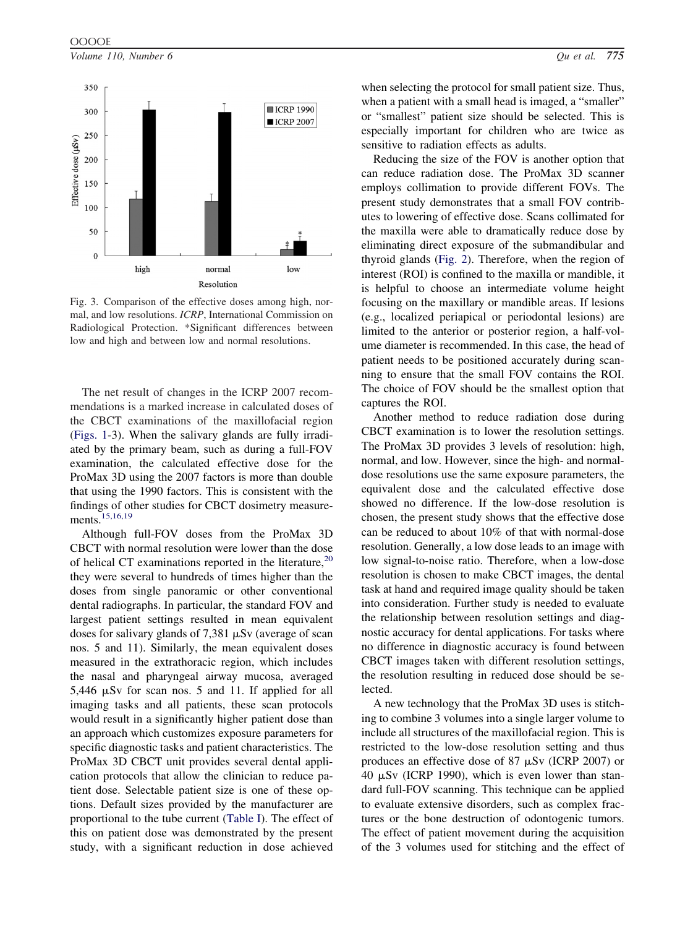<span id="page-5-0"></span>

Fig. 3. Comparison of the effective doses among high, normal, and low resolutions. *ICRP*, International Commission on Radiological Protection. \*Significant differences between low and high and between low and normal resolutions.

The net result of changes in the ICRP 2007 recommendations is a marked increase in calculated doses of the CBCT examinations of the maxillofacial region [\(Figs. 1-](#page-4-0)3). When the salivary glands are fully irradiated by the primary beam, such as during a full-FOV examination, the calculated effective dose for the ProMax 3D using the 2007 factors is more than double that using the 1990 factors. This is consistent with the findings of other studies for CBCT dosimetry measure-ments.<sup>[15,16,19](#page-6-0)</sup>

Although full-FOV doses from the ProMax 3D CBCT with normal resolution were lower than the dose of helical CT examinations reported in the literature,  $20$ they were several to hundreds of times higher than the doses from single panoramic or other conventional dental radiographs. In particular, the standard FOV and largest patient settings resulted in mean equivalent doses for salivary glands of 7,381  $\mu$ Sv (average of scan nos. 5 and 11). Similarly, the mean equivalent doses measured in the extrathoracic region, which includes the nasal and pharyngeal airway mucosa, averaged  $5,446 \mu Sv$  for scan nos. 5 and 11. If applied for all imaging tasks and all patients, these scan protocols would result in a significantly higher patient dose than an approach which customizes exposure parameters for specific diagnostic tasks and patient characteristics. The ProMax 3D CBCT unit provides several dental application protocols that allow the clinician to reduce patient dose. Selectable patient size is one of these options. Default sizes provided by the manufacturer are proportional to the tube current [\(Table I\)](#page-1-0). The effect of this on patient dose was demonstrated by the present study, with a significant reduction in dose achieved

when selecting the protocol for small patient size. Thus, when a patient with a small head is imaged, a "smaller" or "smallest" patient size should be selected. This is especially important for children who are twice as sensitive to radiation effects as adults.

Reducing the size of the FOV is another option that can reduce radiation dose. The ProMax 3D scanner employs collimation to provide different FOVs. The present study demonstrates that a small FOV contributes to lowering of effective dose. Scans collimated for the maxilla were able to dramatically reduce dose by eliminating direct exposure of the submandibular and thyroid glands [\(Fig. 2\)](#page-4-0). Therefore, when the region of interest (ROI) is confined to the maxilla or mandible, it is helpful to choose an intermediate volume height focusing on the maxillary or mandible areas. If lesions (e.g., localized periapical or periodontal lesions) are limited to the anterior or posterior region, a half-volume diameter is recommended. In this case, the head of patient needs to be positioned accurately during scanning to ensure that the small FOV contains the ROI. The choice of FOV should be the smallest option that captures the ROI.

Another method to reduce radiation dose during CBCT examination is to lower the resolution settings. The ProMax 3D provides 3 levels of resolution: high, normal, and low. However, since the high- and normaldose resolutions use the same exposure parameters, the equivalent dose and the calculated effective dose showed no difference. If the low-dose resolution is chosen, the present study shows that the effective dose can be reduced to about 10% of that with normal-dose resolution. Generally, a low dose leads to an image with low signal-to-noise ratio. Therefore, when a low-dose resolution is chosen to make CBCT images, the dental task at hand and required image quality should be taken into consideration. Further study is needed to evaluate the relationship between resolution settings and diagnostic accuracy for dental applications. For tasks where no difference in diagnostic accuracy is found between CBCT images taken with different resolution settings, the resolution resulting in reduced dose should be selected.

A new technology that the ProMax 3D uses is stitching to combine 3 volumes into a single larger volume to include all structures of the maxillofacial region. This is restricted to the low-dose resolution setting and thus produces an effective dose of 87  $\mu$ Sv (ICRP 2007) or 40  $\mu$ Sv (ICRP 1990), which is even lower than standard full-FOV scanning. This technique can be applied to evaluate extensive disorders, such as complex fractures or the bone destruction of odontogenic tumors. The effect of patient movement during the acquisition of the 3 volumes used for stitching and the effect of